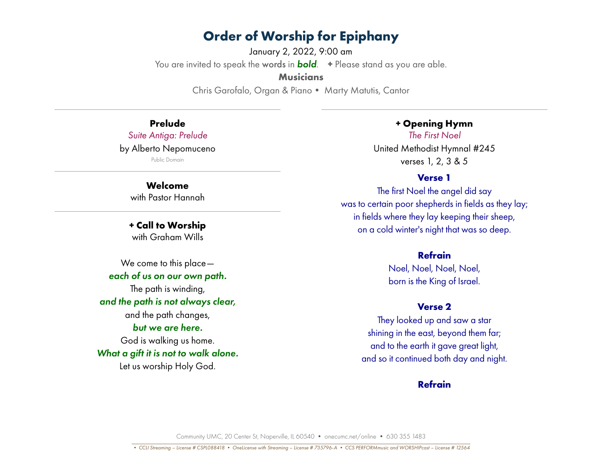# **Order of Worship for Epiphany**

January 2, 2022, 9:00 am You are invited to speak the words in *bold*. **+** Please stand as you are able. **Musicians**

Chris Garofalo, Organ & Piano• Marty Matutis, Cantor

**Prelude** *Suite Antiga: Prelude* by Alberto Nepomuceno

Public Domain

**Welcome** with Pastor Hannah

**+ Call to Worship** with Graham Wills

We come to this place *each of us on our own path.* The path is winding, *and the path is not always clear,* and the path changes, *but we are here.* God is walking us home. *What a gift it is not to walk alone.* Let us worship Holy God.

#### **+ Opening Hymn**

*The First Noel* United Methodist Hymnal #245 verses 1, 2, 3 & 5

#### **Verse 1**

The first Noel the angel did say was to certain poor shepherds in fields as they lay; in fields where they lay keeping their sheep, on a cold winter's night that was so deep.

#### **Refrain**

Noel, Noel, Noel, Noel, born is the King of Israel.

#### **Verse 2**

They looked up and saw a star shining in the east, beyond them far; and to the earth it gave great light, and so it continued both day and night.

#### **Refrain**

Community UMC, 20 Center St, Naperville, IL 60540 • onecumc.net/online • 630 355 1483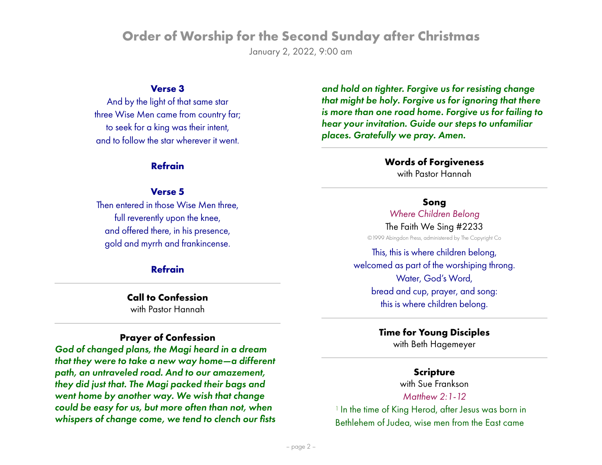January 2, 2022, 9:00 am

#### **Verse 3**

And by the light of that same star three Wise Men came from country far; to seek for a king was their intent, and to follow the star wherever it went.

#### **Refrain**

#### **Verse 5**

Then entered in those Wise Men three, full reverently upon the knee, and offered there, in his presence, gold and myrrh and frankincense.

#### **Refrain**

### **Call to Confession**

with Pastor Hannah

#### **Prayer of Confession**

*God of changed plans, the Magi heard in a dream that they were to take a new way home—a different path, an untraveled road. And to our amazement, they did just that. The Magi packed their bags and went home by another way. We wish that change could be easy for us, but more often than not, when whispers of change come, we tend to clench our fists*  *and hold on tighter. Forgive us for resisting change that might be holy. Forgive us for ignoring that there is more than one road home. Forgive us for failing to hear your invitation. Guide our steps to unfamiliar places. Gratefully we pray. Amen.*

## **Words of Forgiveness**

with Pastor Hannah

#### **Song**

*Where Children Belong* The Faith We Sing #2233 ©1999 Abingdon Press, administered by The Copyright Co

This, this is where children belong, welcomed as part of the worshiping throng. Water, God's Word, bread and cup, prayer, and song: this is where children belong.

#### **Time for Young Disciples**

with Beth Hagemeyer

#### **Scripture**

with Sue Frankson *Matthew 2:1-12*

<sup>1</sup> In the time of King Herod, after Jesus was born in Bethlehem of Judea, wise men from the East came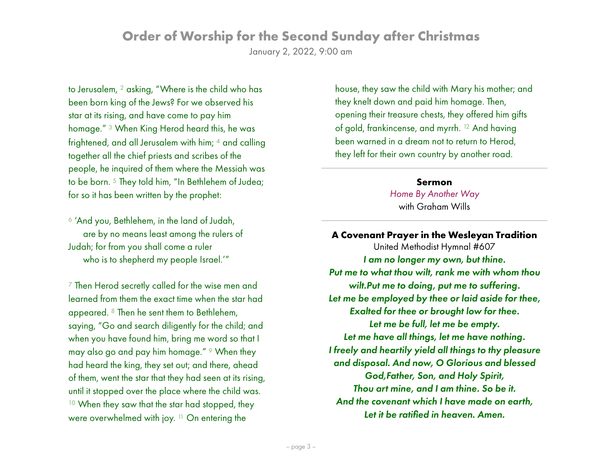January 2, 2022, 9:00 am

to Jerusalem, 2 asking, "Where is the child who has been born king of the Jews? For we observed his star at its rising, and have come to pay him homage." 3 When King Herod heard this, he was frightened, and all Jerusalem with him; 4 and calling together all the chief priests and scribes of the people, he inquired of them where the Messiah was to be born.<sup>5</sup> They told him, "In Bethlehem of Judea; for so it has been written by the prophet:

6 'And you, Bethlehem, in the land of Judah, are by no means least among the rulers of Judah; for from you shall come a ruler who is to shepherd my people Israel.'"

 $7$  Then Herod secretly called for the wise men and learned from them the exact time when the star had appeared. 8 Then he sent them to Bethlehem, saying, "Go and search diligently for the child; and when you have found him, bring me word so that I may also go and pay him homage." 9 When they had heard the king, they set out; and there, ahead of them, went the star that they had seen at its rising, until it stopped over the place where the child was.  $10$  When they saw that the star had stopped, they were overwhelmed with joy. <sup>11</sup> On entering the

house, they saw the child with Mary his mother; and they knelt down and paid him homage. Then, opening their treasure chests, they offered him gifts of gold, frankincense, and myrrh. 12 And having been warned in a dream not to return to Herod, they left for their own country by another road.

## **Sermon**

*Home By Another Way* with Graham Wills

**A Covenant Prayer in the Wesleyan Tradition** United Methodist Hymnal #607 *I am no longer my own, but thine. Put me to what thou wilt, rank me with whom thou wilt.Put me to doing, put me to suffering. Let me be employed by thee or laid aside for thee, Exalted for thee or brought low for thee. Let me be full, let me be empty. Let me have all things, let me have nothing. I freely and heartily yield all things to thy pleasure and disposal. And now, O Glorious and blessed God,Father, Son, and Holy Spirit, Thou art mine, and I am thine. So be it. And the covenant which I have made on earth, Let it be ratified in heaven. Amen.*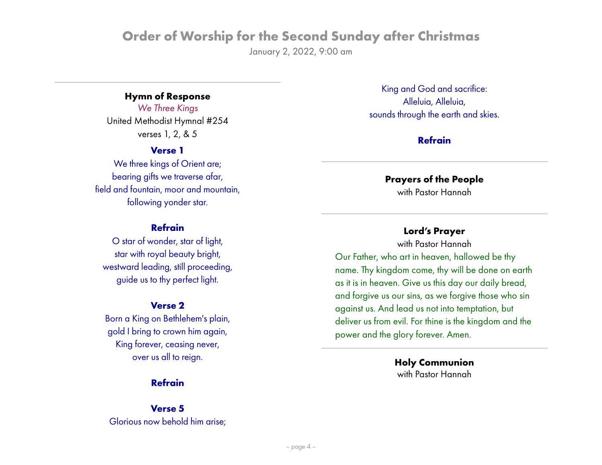January 2, 2022, 9:00 am

### **Hymn of Response**

*We Three Kings* United Methodist Hymnal #254 verses 1, 2, & 5

#### **Verse 1**

We three kings of Orient are; bearing gifts we traverse afar, field and fountain, moor and mountain, following yonder star.

#### **Refrain**

O star of wonder, star of light, star with royal beauty bright, westward leading, still proceeding, guide us to thy perfect light.

#### **Verse 2**

Born a King on Bethlehem's plain, gold I bring to crown him again, King forever, ceasing never, over us all to reign.

### **Refrain**

**Verse 5** Glorious now behold him arise;

King and God and sacrifice: Alleluia, Alleluia, sounds through the earth and skies.

## **Refrain**

# **Prayers of the People**

with Pastor Hannah

## **Lord's Prayer**

with Pastor Hannah

Our Father, who art in heaven, hallowed be thy name. Thy kingdom come, thy will be done on earth as it is in heaven. Give us this day our daily bread, and forgive us our sins, as we forgive those who sin against us. And lead us not into temptation, but deliver us from evil. For thine is the kingdom and the power and the glory forever. Amen.

> **Holy Communion** with Pastor Hannah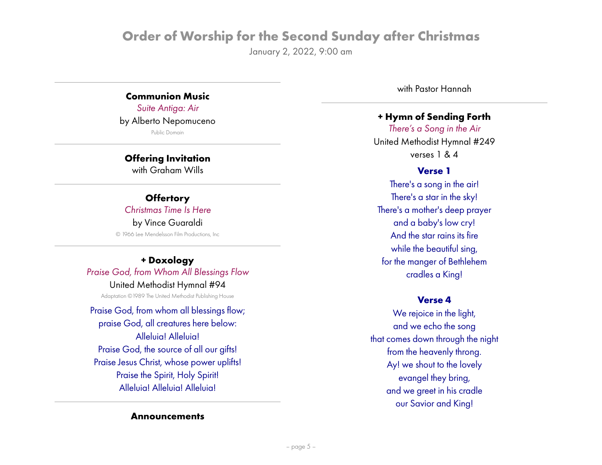January 2, 2022, 9:00 am

## **Communion Music**

*Suite Antiga: Air* by Alberto Nepomuceno Public Domain

#### **Offering Invitation**

with Graham Wills

### **Offertory**

*Christmas Time Is Here*

by Vince Guaraldi © 1966 Lee Mendelsson Film Productions, Inc

# **+ Doxology** *Praise God, from Whom All Blessings Flow*

United Methodist Hymnal #94 Adaptation ©1989 The United Methodist Publishing House

Praise God, from whom all blessings flow; praise God, all creatures here below: Alleluia! Alleluia! Praise God, the source of all our gifts! Praise Jesus Christ, whose power uplifts! Praise the Spirit, Holy Spirit! Alleluia! Alleluia! Alleluia!

**Announcements**

with Pastor Hannah

### **+ Hymn of Sending Forth**

*There's a Song in the Air* United Methodist Hymnal #249 verses 1 & 4

#### **Verse 1**

There's a song in the air! There's a star in the sky! There's a mother's deep prayer and a baby's low cry! And the star rains its fire while the beautiful sing, for the manger of Bethlehem cradles a King!

#### **Verse 4**

We rejoice in the light, and we echo the song that comes down through the night from the heavenly throng. Ay! we shout to the lovely evangel they bring, and we greet in his cradle our Savior and King!